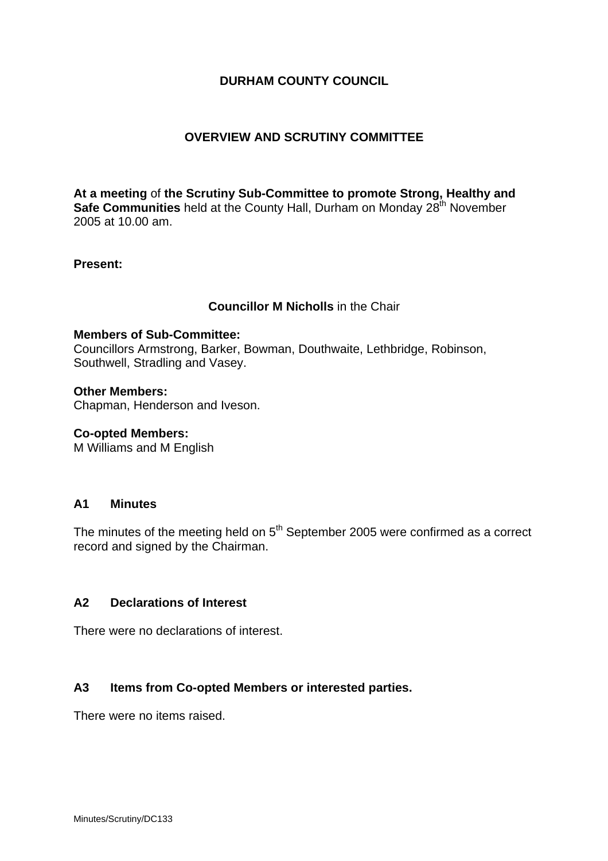# **DURHAM COUNTY COUNCIL**

## **OVERVIEW AND SCRUTINY COMMITTEE**

**At a meeting** of **the Scrutiny Sub-Committee to promote Strong, Healthy and Safe Communities** held at the County Hall, Durham on Monday 28<sup>th</sup> November 2005 at 10.00 am.

#### **Present:**

### **Councillor M Nicholls** in the Chair

#### **Members of Sub-Committee:**

Councillors Armstrong, Barker, Bowman, Douthwaite, Lethbridge, Robinson, Southwell, Stradling and Vasey.

#### **Other Members:**

Chapman, Henderson and Iveson.

#### **Co-opted Members:**

M Williams and M English

#### **A1 Minutes**

The minutes of the meeting held on  $5<sup>th</sup>$  September 2005 were confirmed as a correct record and signed by the Chairman.

# **A2 Declarations of Interest**

There were no declarations of interest.

#### **A3 Items from Co-opted Members or interested parties.**

There were no items raised.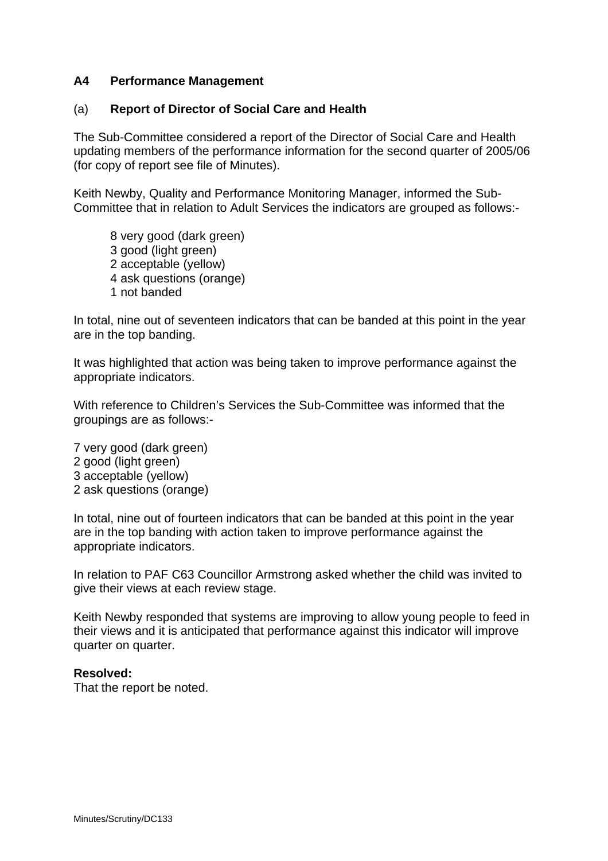### **A4 Performance Management**

### (a) **Report of Director of Social Care and Health**

The Sub-Committee considered a report of the Director of Social Care and Health updating members of the performance information for the second quarter of 2005/06 (for copy of report see file of Minutes).

Keith Newby, Quality and Performance Monitoring Manager, informed the Sub-Committee that in relation to Adult Services the indicators are grouped as follows:-

 8 very good (dark green) 3 good (light green) 2 acceptable (yellow) 4 ask questions (orange) 1 not banded

In total, nine out of seventeen indicators that can be banded at this point in the year are in the top banding.

It was highlighted that action was being taken to improve performance against the appropriate indicators.

With reference to Children's Services the Sub-Committee was informed that the groupings are as follows:-

7 very good (dark green) 2 good (light green) 3 acceptable (yellow) 2 ask questions (orange)

In total, nine out of fourteen indicators that can be banded at this point in the year are in the top banding with action taken to improve performance against the appropriate indicators.

In relation to PAF C63 Councillor Armstrong asked whether the child was invited to give their views at each review stage.

Keith Newby responded that systems are improving to allow young people to feed in their views and it is anticipated that performance against this indicator will improve quarter on quarter.

#### **Resolved:**

That the report be noted.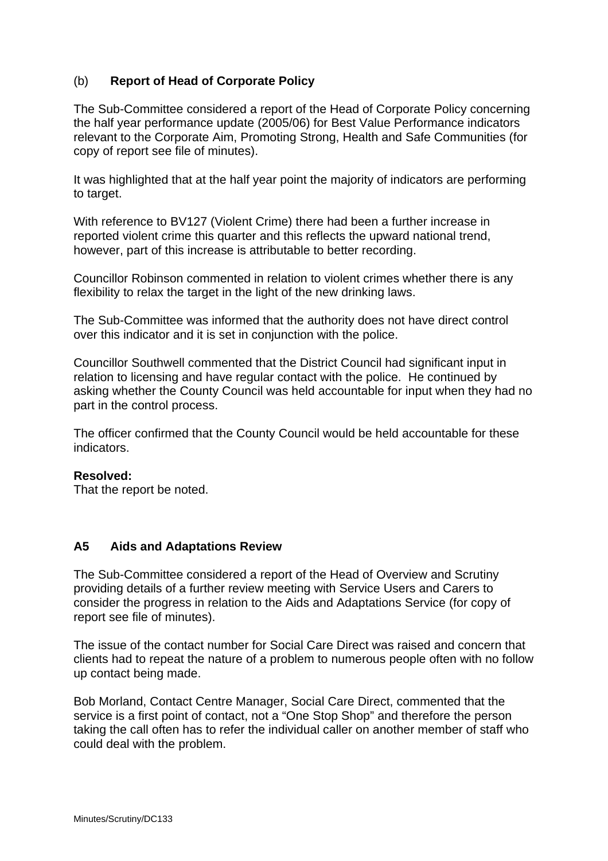# (b) **Report of Head of Corporate Policy**

The Sub-Committee considered a report of the Head of Corporate Policy concerning the half year performance update (2005/06) for Best Value Performance indicators relevant to the Corporate Aim, Promoting Strong, Health and Safe Communities (for copy of report see file of minutes).

It was highlighted that at the half year point the majority of indicators are performing to target.

With reference to BV127 (Violent Crime) there had been a further increase in reported violent crime this quarter and this reflects the upward national trend, however, part of this increase is attributable to better recording.

Councillor Robinson commented in relation to violent crimes whether there is any flexibility to relax the target in the light of the new drinking laws.

The Sub-Committee was informed that the authority does not have direct control over this indicator and it is set in conjunction with the police.

Councillor Southwell commented that the District Council had significant input in relation to licensing and have regular contact with the police. He continued by asking whether the County Council was held accountable for input when they had no part in the control process.

The officer confirmed that the County Council would be held accountable for these indicators.

#### **Resolved:**

That the report be noted.

#### **A5 Aids and Adaptations Review**

The Sub-Committee considered a report of the Head of Overview and Scrutiny providing details of a further review meeting with Service Users and Carers to consider the progress in relation to the Aids and Adaptations Service (for copy of report see file of minutes).

The issue of the contact number for Social Care Direct was raised and concern that clients had to repeat the nature of a problem to numerous people often with no follow up contact being made.

Bob Morland, Contact Centre Manager, Social Care Direct, commented that the service is a first point of contact, not a "One Stop Shop" and therefore the person taking the call often has to refer the individual caller on another member of staff who could deal with the problem.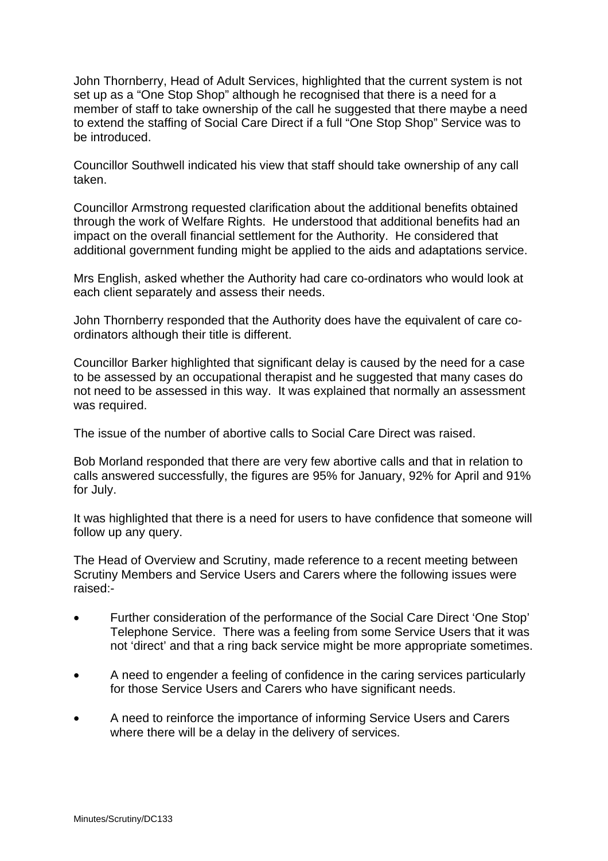John Thornberry, Head of Adult Services, highlighted that the current system is not set up as a "One Stop Shop" although he recognised that there is a need for a member of staff to take ownership of the call he suggested that there maybe a need to extend the staffing of Social Care Direct if a full "One Stop Shop" Service was to be introduced.

Councillor Southwell indicated his view that staff should take ownership of any call taken.

Councillor Armstrong requested clarification about the additional benefits obtained through the work of Welfare Rights. He understood that additional benefits had an impact on the overall financial settlement for the Authority. He considered that additional government funding might be applied to the aids and adaptations service.

Mrs English, asked whether the Authority had care co-ordinators who would look at each client separately and assess their needs.

John Thornberry responded that the Authority does have the equivalent of care coordinators although their title is different.

Councillor Barker highlighted that significant delay is caused by the need for a case to be assessed by an occupational therapist and he suggested that many cases do not need to be assessed in this way. It was explained that normally an assessment was required.

The issue of the number of abortive calls to Social Care Direct was raised.

Bob Morland responded that there are very few abortive calls and that in relation to calls answered successfully, the figures are 95% for January, 92% for April and 91% for July.

It was highlighted that there is a need for users to have confidence that someone will follow up any query.

The Head of Overview and Scrutiny, made reference to a recent meeting between Scrutiny Members and Service Users and Carers where the following issues were raised:-

- Further consideration of the performance of the Social Care Direct 'One Stop' Telephone Service. There was a feeling from some Service Users that it was not 'direct' and that a ring back service might be more appropriate sometimes.
- A need to engender a feeling of confidence in the caring services particularly for those Service Users and Carers who have significant needs.
- A need to reinforce the importance of informing Service Users and Carers where there will be a delay in the delivery of services.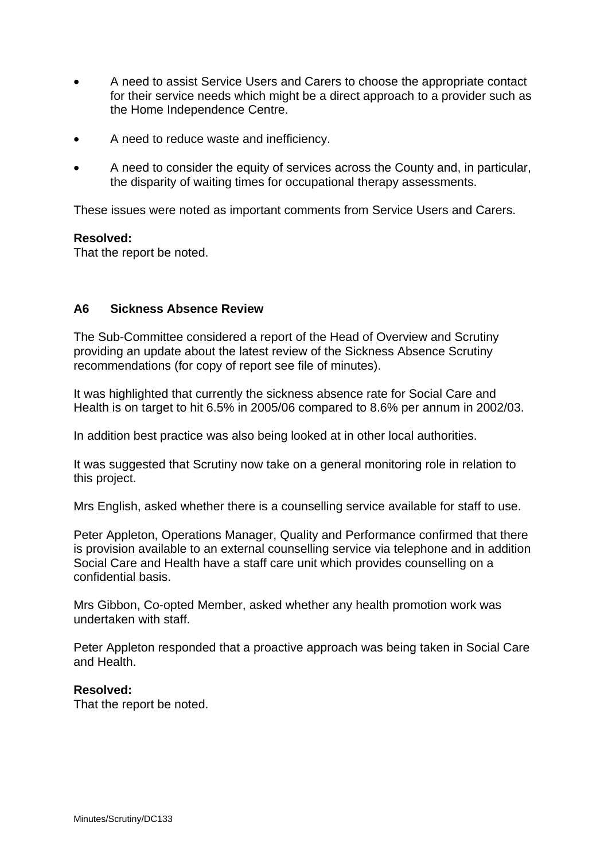- A need to assist Service Users and Carers to choose the appropriate contact for their service needs which might be a direct approach to a provider such as the Home Independence Centre.
- A need to reduce waste and inefficiency.
- A need to consider the equity of services across the County and, in particular, the disparity of waiting times for occupational therapy assessments.

These issues were noted as important comments from Service Users and Carers.

#### **Resolved:**

That the report be noted.

### **A6 Sickness Absence Review**

The Sub-Committee considered a report of the Head of Overview and Scrutiny providing an update about the latest review of the Sickness Absence Scrutiny recommendations (for copy of report see file of minutes).

It was highlighted that currently the sickness absence rate for Social Care and Health is on target to hit 6.5% in 2005/06 compared to 8.6% per annum in 2002/03.

In addition best practice was also being looked at in other local authorities.

It was suggested that Scrutiny now take on a general monitoring role in relation to this project.

Mrs English, asked whether there is a counselling service available for staff to use.

Peter Appleton, Operations Manager, Quality and Performance confirmed that there is provision available to an external counselling service via telephone and in addition Social Care and Health have a staff care unit which provides counselling on a confidential basis.

Mrs Gibbon, Co-opted Member, asked whether any health promotion work was undertaken with staff.

Peter Appleton responded that a proactive approach was being taken in Social Care and Health.

#### **Resolved:**

That the report be noted.